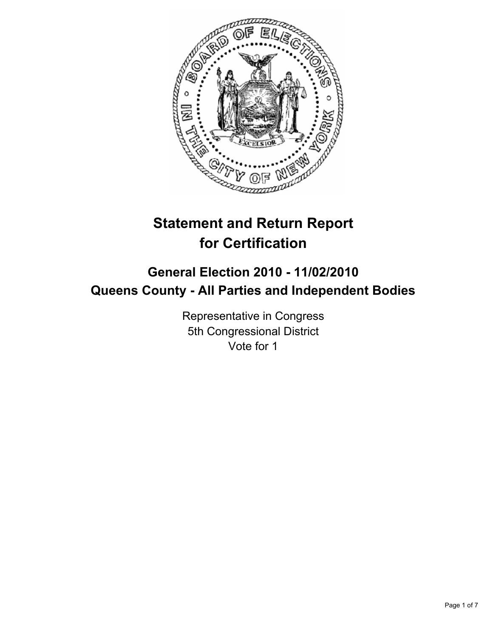

# **Statement and Return Report for Certification**

# **General Election 2010 - 11/02/2010 Queens County - All Parties and Independent Bodies**

Representative in Congress 5th Congressional District Vote for 1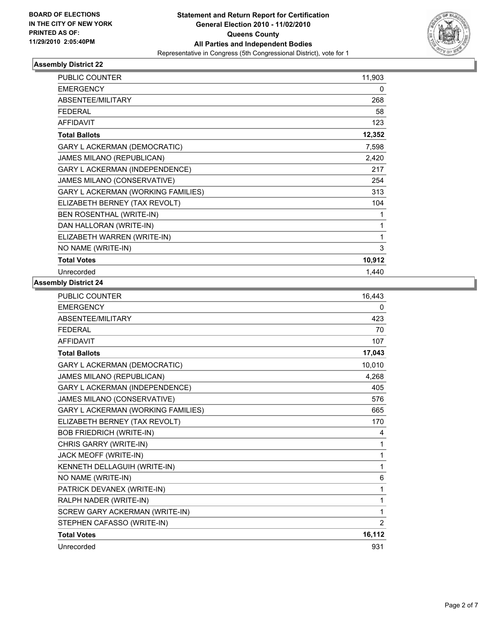

| <b>PUBLIC COUNTER</b>                     | 11,903 |
|-------------------------------------------|--------|
| <b>EMERGENCY</b>                          | 0      |
| ABSENTEE/MILITARY                         | 268    |
| <b>FEDERAL</b>                            | 58     |
| <b>AFFIDAVIT</b>                          | 123    |
| <b>Total Ballots</b>                      | 12,352 |
| <b>GARY L ACKERMAN (DEMOCRATIC)</b>       | 7,598  |
| JAMES MILANO (REPUBLICAN)                 | 2,420  |
| <b>GARY L ACKERMAN (INDEPENDENCE)</b>     | 217    |
| JAMES MILANO (CONSERVATIVE)               | 254    |
| <b>GARY L ACKERMAN (WORKING FAMILIES)</b> | 313    |
| ELIZABETH BERNEY (TAX REVOLT)             | 104    |
| BEN ROSENTHAL (WRITE-IN)                  | 1      |
| DAN HALLORAN (WRITE-IN)                   | 1      |
| ELIZABETH WARREN (WRITE-IN)               | 1      |
| NO NAME (WRITE-IN)                        | 3      |
| <b>Total Votes</b>                        | 10,912 |
| Unrecorded                                | 1,440  |

| <b>PUBLIC COUNTER</b>                     | 16,443         |
|-------------------------------------------|----------------|
| <b>EMERGENCY</b>                          | 0              |
| <b>ABSENTEE/MILITARY</b>                  | 423            |
| <b>FEDERAL</b>                            | 70             |
| <b>AFFIDAVIT</b>                          | 107            |
| <b>Total Ballots</b>                      | 17,043         |
| <b>GARY L ACKERMAN (DEMOCRATIC)</b>       | 10,010         |
| JAMES MILANO (REPUBLICAN)                 | 4,268          |
| GARY L ACKERMAN (INDEPENDENCE)            | 405            |
| JAMES MILANO (CONSERVATIVE)               | 576            |
| <b>GARY L ACKERMAN (WORKING FAMILIES)</b> | 665            |
| ELIZABETH BERNEY (TAX REVOLT)             | 170            |
| <b>BOB FRIEDRICH (WRITE-IN)</b>           | 4              |
| CHRIS GARRY (WRITE-IN)                    | 1              |
| JACK MEOFF (WRITE-IN)                     | 1              |
| KENNETH DELLAGUIH (WRITE-IN)              | 1              |
| NO NAME (WRITE-IN)                        | 6              |
| PATRICK DEVANEX (WRITE-IN)                | 1              |
| RALPH NADER (WRITE-IN)                    | 1              |
| SCREW GARY ACKERMAN (WRITE-IN)            | 1              |
| STEPHEN CAFASSO (WRITE-IN)                | $\overline{2}$ |
| <b>Total Votes</b>                        | 16,112         |
| Unrecorded                                | 931            |
|                                           |                |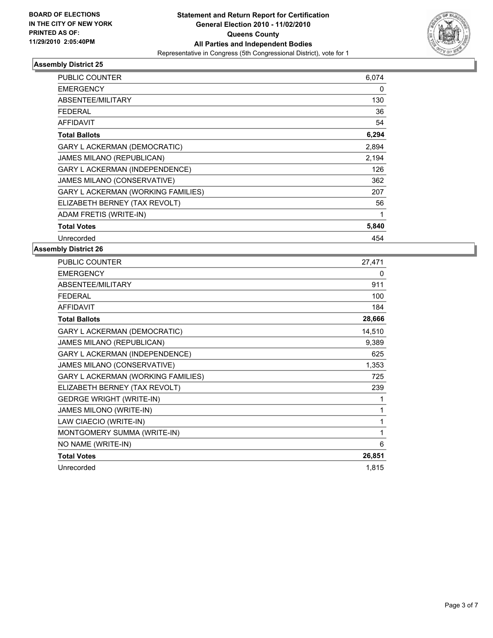

| <b>PUBLIC COUNTER</b>                     | 6,074 |
|-------------------------------------------|-------|
| <b>EMERGENCY</b>                          | 0     |
| ABSENTEE/MILITARY                         | 130   |
| FEDERAL                                   | 36    |
| <b>AFFIDAVIT</b>                          | 54    |
| <b>Total Ballots</b>                      | 6,294 |
| <b>GARY L ACKERMAN (DEMOCRATIC)</b>       | 2,894 |
| <b>JAMES MILANO (REPUBLICAN)</b>          | 2,194 |
| <b>GARY L ACKERMAN (INDEPENDENCE)</b>     | 126   |
| JAMES MILANO (CONSERVATIVE)               | 362   |
| <b>GARY L ACKERMAN (WORKING FAMILIES)</b> | 207   |
| ELIZABETH BERNEY (TAX REVOLT)             | 56    |
| ADAM FRETIS (WRITE-IN)                    | 1     |
| <b>Total Votes</b>                        | 5,840 |
| Unrecorded                                | 454   |

| PUBLIC COUNTER                        | 27,471 |
|---------------------------------------|--------|
| <b>EMERGENCY</b>                      | 0      |
| ABSENTEE/MILITARY                     | 911    |
| <b>FEDERAL</b>                        | 100    |
| <b>AFFIDAVIT</b>                      | 184    |
| <b>Total Ballots</b>                  | 28,666 |
| <b>GARY L ACKERMAN (DEMOCRATIC)</b>   | 14,510 |
| JAMES MILANO (REPUBLICAN)             | 9,389  |
| <b>GARY L ACKERMAN (INDEPENDENCE)</b> | 625    |
| JAMES MILANO (CONSERVATIVE)           | 1,353  |
| GARY L ACKERMAN (WORKING FAMILIES)    | 725    |
| ELIZABETH BERNEY (TAX REVOLT)         | 239    |
| <b>GEDRGE WRIGHT (WRITE-IN)</b>       | 1      |
| JAMES MILONO (WRITE-IN)               | 1      |
| LAW CIAECIO (WRITE-IN)                | 1      |
| MONTGOMERY SUMMA (WRITE-IN)           | 1      |
| NO NAME (WRITE-IN)                    | 6      |
| <b>Total Votes</b>                    | 26,851 |
| Unrecorded                            | 1,815  |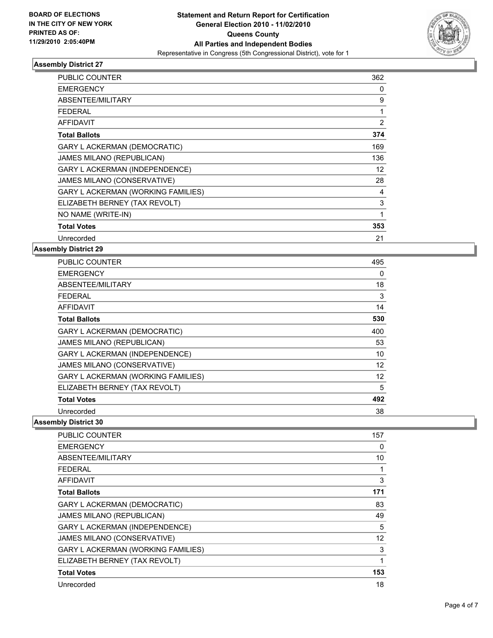

| PUBLIC COUNTER                            | 362 |
|-------------------------------------------|-----|
| <b>EMERGENCY</b>                          | 0   |
| ABSENTEE/MILITARY                         | 9   |
| FEDERAL                                   | 1   |
| <b>AFFIDAVIT</b>                          | 2   |
| <b>Total Ballots</b>                      | 374 |
| <b>GARY L ACKERMAN (DEMOCRATIC)</b>       | 169 |
| JAMES MILANO (REPUBLICAN)                 | 136 |
| <b>GARY L ACKERMAN (INDEPENDENCE)</b>     | 12  |
| JAMES MILANO (CONSERVATIVE)               | 28  |
| <b>GARY L ACKERMAN (WORKING FAMILIES)</b> | 4   |
| ELIZABETH BERNEY (TAX REVOLT)             | 3   |
| NO NAME (WRITE-IN)                        | 1   |
| <b>Total Votes</b>                        | 353 |
| Unrecorded                                | 21  |

### **Assembly District 29**

| <b>PUBLIC COUNTER</b>                     | 495 |
|-------------------------------------------|-----|
| <b>EMERGENCY</b>                          | 0   |
| ABSENTEE/MILITARY                         | 18  |
| FEDERAL                                   | 3   |
| AFFIDAVIT                                 | 14  |
| <b>Total Ballots</b>                      | 530 |
| <b>GARY L ACKERMAN (DEMOCRATIC)</b>       | 400 |
| <b>JAMES MILANO (REPUBLICAN)</b>          | 53  |
| <b>GARY L ACKERMAN (INDEPENDENCE)</b>     | 10  |
| JAMES MILANO (CONSERVATIVE)               | 12  |
| <b>GARY L ACKERMAN (WORKING FAMILIES)</b> | 12  |
| ELIZABETH BERNEY (TAX REVOLT)             | 5   |
| <b>Total Votes</b>                        | 492 |
| Unrecorded                                | 38  |

| PUBLIC COUNTER                            | 157               |
|-------------------------------------------|-------------------|
| <b>EMERGENCY</b>                          | 0                 |
| ABSENTEE/MILITARY                         | 10                |
| FEDERAL                                   | 1                 |
| <b>AFFIDAVIT</b>                          | 3                 |
| <b>Total Ballots</b>                      | 171               |
| <b>GARY L ACKERMAN (DEMOCRATIC)</b>       | 83                |
| <b>JAMES MILANO (REPUBLICAN)</b>          | 49                |
| <b>GARY L ACKERMAN (INDEPENDENCE)</b>     | 5                 |
| JAMES MILANO (CONSERVATIVE)               | $12 \overline{ }$ |
| <b>GARY L ACKERMAN (WORKING FAMILIES)</b> | 3                 |
| ELIZABETH BERNEY (TAX REVOLT)             | 1                 |
| <b>Total Votes</b>                        | 153               |
| Unrecorded                                | 18                |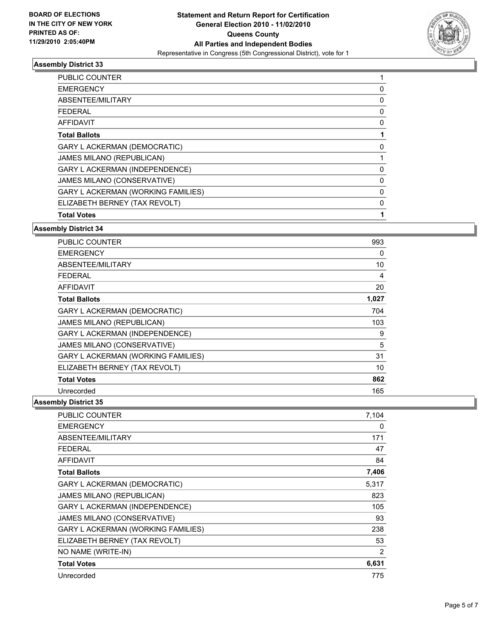

| <b>Total Votes</b>                        |   |
|-------------------------------------------|---|
| ELIZABETH BERNEY (TAX REVOLT)             | 0 |
| <b>GARY L ACKERMAN (WORKING FAMILIES)</b> | 0 |
| JAMES MILANO (CONSERVATIVE)               | 0 |
| <b>GARY L ACKERMAN (INDEPENDENCE)</b>     | 0 |
| <b>JAMES MILANO (REPUBLICAN)</b>          |   |
| <b>GARY L ACKERMAN (DEMOCRATIC)</b>       | 0 |
| <b>Total Ballots</b>                      |   |
| <b>AFFIDAVIT</b>                          | 0 |
| <b>FEDERAL</b>                            | 0 |
| ABSENTEE/MILITARY                         | 0 |
| <b>EMERGENCY</b>                          | 0 |
| <b>PUBLIC COUNTER</b>                     |   |

### **Assembly District 34**

| <b>PUBLIC COUNTER</b>                     | 993   |
|-------------------------------------------|-------|
| <b>EMERGENCY</b>                          | 0     |
| ABSENTEE/MILITARY                         | 10    |
| FEDERAL                                   | 4     |
| AFFIDAVIT                                 | 20    |
| <b>Total Ballots</b>                      | 1,027 |
| <b>GARY L ACKERMAN (DEMOCRATIC)</b>       | 704   |
| <b>JAMES MILANO (REPUBLICAN)</b>          | 103   |
| <b>GARY L ACKERMAN (INDEPENDENCE)</b>     | 9     |
| JAMES MILANO (CONSERVATIVE)               | 5     |
| <b>GARY L ACKERMAN (WORKING FAMILIES)</b> | 31    |
| ELIZABETH BERNEY (TAX REVOLT)             | 10    |
| <b>Total Votes</b>                        | 862   |
| Unrecorded                                | 165   |

| <b>PUBLIC COUNTER</b>                     | 7,104 |
|-------------------------------------------|-------|
| <b>EMERGENCY</b>                          | 0     |
| <b>ABSENTEE/MILITARY</b>                  | 171   |
| FEDERAL                                   | 47    |
| <b>AFFIDAVIT</b>                          | 84    |
| <b>Total Ballots</b>                      | 7,406 |
| GARY L ACKERMAN (DEMOCRATIC)              | 5,317 |
| <b>JAMES MILANO (REPUBLICAN)</b>          | 823   |
| <b>GARY L ACKERMAN (INDEPENDENCE)</b>     | 105   |
| JAMES MILANO (CONSERVATIVE)               | 93    |
| <b>GARY L ACKERMAN (WORKING FAMILIES)</b> | 238   |
| ELIZABETH BERNEY (TAX REVOLT)             | 53    |
| NO NAME (WRITE-IN)                        | 2     |
| <b>Total Votes</b>                        | 6,631 |
| Unrecorded                                | 775   |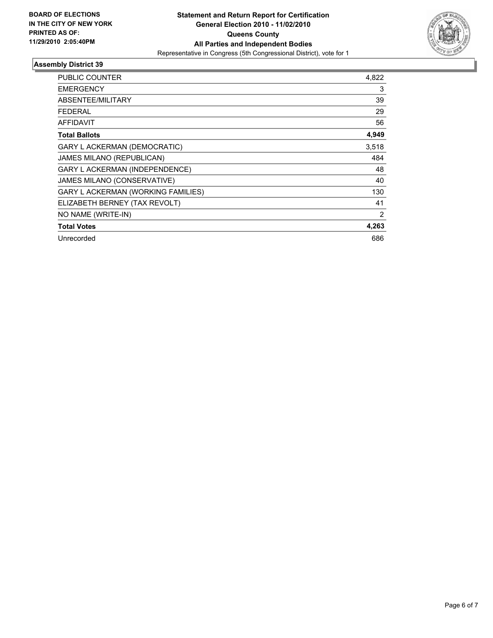

| PUBLIC COUNTER                            | 4,822          |
|-------------------------------------------|----------------|
| <b>EMERGENCY</b>                          | 3              |
| <b>ABSENTEE/MILITARY</b>                  | 39             |
| FEDERAL                                   | 29             |
| <b>AFFIDAVIT</b>                          | 56             |
| <b>Total Ballots</b>                      | 4,949          |
| <b>GARY L ACKERMAN (DEMOCRATIC)</b>       | 3,518          |
| JAMES MILANO (REPUBLICAN)                 | 484            |
| GARY L ACKERMAN (INDEPENDENCE)            | 48             |
| JAMES MILANO (CONSERVATIVE)               | 40             |
| <b>GARY L ACKERMAN (WORKING FAMILIES)</b> | 130            |
| ELIZABETH BERNEY (TAX REVOLT)             | 41             |
| NO NAME (WRITE-IN)                        | $\overline{2}$ |
| <b>Total Votes</b>                        | 4,263          |
| Unrecorded                                | 686            |